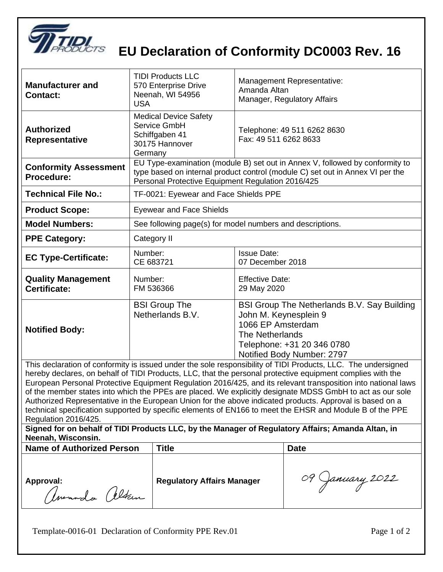

## **EU Declaration of Conformity DC0003 Rev. 16**

| <b>Manufacturer and</b><br><b>Contact:</b>                                                                                                                                                                                                                                                                                                                                                                                                                                                                                                                                                                                                                                                                                                                                                                                           | <b>TIDI Products LLC</b><br>570 Enterprise Drive<br>Neenah, WI 54956<br><b>USA</b>                                                                                                                                 | <b>Management Representative:</b><br>Amanda Altan<br>Manager, Regulatory Affairs                                                                                                |  |  |
|--------------------------------------------------------------------------------------------------------------------------------------------------------------------------------------------------------------------------------------------------------------------------------------------------------------------------------------------------------------------------------------------------------------------------------------------------------------------------------------------------------------------------------------------------------------------------------------------------------------------------------------------------------------------------------------------------------------------------------------------------------------------------------------------------------------------------------------|--------------------------------------------------------------------------------------------------------------------------------------------------------------------------------------------------------------------|---------------------------------------------------------------------------------------------------------------------------------------------------------------------------------|--|--|
| <b>Authorized</b><br><b>Representative</b>                                                                                                                                                                                                                                                                                                                                                                                                                                                                                                                                                                                                                                                                                                                                                                                           | <b>Medical Device Safety</b><br>Service GmbH<br>Schiffgaben 41<br>30175 Hannover<br>Germany                                                                                                                        | Telephone: 49 511 6262 8630<br>Fax: 49 511 6262 8633                                                                                                                            |  |  |
| <b>Conformity Assessment</b><br>Procedure:                                                                                                                                                                                                                                                                                                                                                                                                                                                                                                                                                                                                                                                                                                                                                                                           | EU Type-examination (module B) set out in Annex V, followed by conformity to<br>type based on internal product control (module C) set out in Annex VI per the<br>Personal Protective Equipment Regulation 2016/425 |                                                                                                                                                                                 |  |  |
| <b>Technical File No.:</b>                                                                                                                                                                                                                                                                                                                                                                                                                                                                                                                                                                                                                                                                                                                                                                                                           | TF-0021: Eyewear and Face Shields PPE                                                                                                                                                                              |                                                                                                                                                                                 |  |  |
| <b>Product Scope:</b>                                                                                                                                                                                                                                                                                                                                                                                                                                                                                                                                                                                                                                                                                                                                                                                                                | <b>Eyewear and Face Shields</b>                                                                                                                                                                                    |                                                                                                                                                                                 |  |  |
| <b>Model Numbers:</b>                                                                                                                                                                                                                                                                                                                                                                                                                                                                                                                                                                                                                                                                                                                                                                                                                | See following page(s) for model numbers and descriptions.                                                                                                                                                          |                                                                                                                                                                                 |  |  |
| <b>PPE Category:</b>                                                                                                                                                                                                                                                                                                                                                                                                                                                                                                                                                                                                                                                                                                                                                                                                                 | Category II                                                                                                                                                                                                        |                                                                                                                                                                                 |  |  |
| <b>EC Type-Certificate:</b>                                                                                                                                                                                                                                                                                                                                                                                                                                                                                                                                                                                                                                                                                                                                                                                                          | Number:<br>CE 683721                                                                                                                                                                                               | <b>Issue Date:</b><br>07 December 2018                                                                                                                                          |  |  |
| <b>Quality Management</b><br>Certificate:                                                                                                                                                                                                                                                                                                                                                                                                                                                                                                                                                                                                                                                                                                                                                                                            | Number:<br>FM 536366                                                                                                                                                                                               | <b>Effective Date:</b><br>29 May 2020                                                                                                                                           |  |  |
| <b>Notified Body:</b>                                                                                                                                                                                                                                                                                                                                                                                                                                                                                                                                                                                                                                                                                                                                                                                                                | <b>BSI Group The</b><br>Netherlands B.V.                                                                                                                                                                           | BSI Group The Netherlands B.V. Say Building<br>John M. Keynesplein 9<br>1066 EP Amsterdam<br><b>The Netherlands</b><br>Telephone: +31 20 346 0780<br>Notified Body Number: 2797 |  |  |
| This declaration of conformity is issued under the sole responsibility of TIDI Products, LLC. The undersigned<br>hereby declares, on behalf of TIDI Products, LLC, that the personal protective equipment complies with the<br>European Personal Protective Equipment Regulation 2016/425, and its relevant transposition into national laws<br>of the member states into which the PPEs are placed. We explicitly designate MDSS GmbH to act as our sole<br>Authorized Representative in the European Union for the above indicated products. Approval is based on a<br>technical specification supported by specific elements of EN166 to meet the EHSR and Module B of the PPE<br>Regulation 2016/425.<br>Signed for on behalf of TIDI Products LLC, by the Manager of Regulatory Affairs; Amanda Altan, in<br>Neenah, Wisconsin. |                                                                                                                                                                                                                    |                                                                                                                                                                                 |  |  |
| <b>Name of Authorized Person</b>                                                                                                                                                                                                                                                                                                                                                                                                                                                                                                                                                                                                                                                                                                                                                                                                     | <b>Title</b>                                                                                                                                                                                                       | <b>Date</b>                                                                                                                                                                     |  |  |
| Approval:<br>amando altan                                                                                                                                                                                                                                                                                                                                                                                                                                                                                                                                                                                                                                                                                                                                                                                                            | <b>Regulatory Affairs Manager</b>                                                                                                                                                                                  | 09 January 2022                                                                                                                                                                 |  |  |

Template-0016-01 Declaration of Conformity PPE Rev.01 Page 1 of 2

 $\overline{\phantom{a}}$